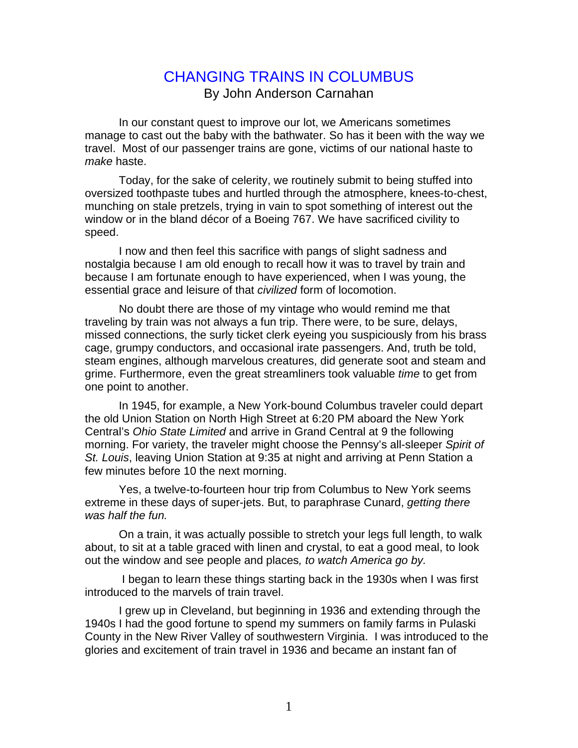## CHANGING TRAINS IN COLUMBUS By John Anderson Carnahan

 In our constant quest to improve our lot, we Americans sometimes manage to cast out the baby with the bathwater. So has it been with the way we travel. Most of our passenger trains are gone, victims of our national haste to *make* haste.

 Today, for the sake of celerity, we routinely submit to being stuffed into oversized toothpaste tubes and hurtled through the atmosphere, knees-to-chest, munching on stale pretzels, trying in vain to spot something of interest out the window or in the bland décor of a Boeing 767. We have sacrificed civility to speed.

 I now and then feel this sacrifice with pangs of slight sadness and nostalgia because I am old enough to recall how it was to travel by train and because I am fortunate enough to have experienced, when I was young, the essential grace and leisure of that *civilized* form of locomotion.

 No doubt there are those of my vintage who would remind me that traveling by train was not always a fun trip. There were, to be sure, delays, missed connections, the surly ticket clerk eyeing you suspiciously from his brass cage, grumpy conductors, and occasional irate passengers. And, truth be told, steam engines, although marvelous creatures, did generate soot and steam and grime. Furthermore, even the great streamliners took valuable *time* to get from one point to another.

 In 1945, for example, a New York-bound Columbus traveler could depart the old Union Station on North High Street at 6:20 PM aboard the New York Central's *Ohio State Limited* and arrive in Grand Central at 9 the following morning. For variety, the traveler might choose the Pennsy's all-sleeper *Spirit of St. Louis*, leaving Union Station at 9:35 at night and arriving at Penn Station a few minutes before 10 the next morning.

 Yes, a twelve-to-fourteen hour trip from Columbus to New York seems extreme in these days of super-jets. But, to paraphrase Cunard, *getting there was half the fun.* 

 On a train, it was actually possible to stretch your legs full length, to walk about, to sit at a table graced with linen and crystal, to eat a good meal, to look out the window and see people and places*, to watch America go by.* 

 I began to learn these things starting back in the 1930s when I was first introduced to the marvels of train travel.

 I grew up in Cleveland, but beginning in 1936 and extending through the 1940s I had the good fortune to spend my summers on family farms in Pulaski County in the New River Valley of southwestern Virginia. I was introduced to the glories and excitement of train travel in 1936 and became an instant fan of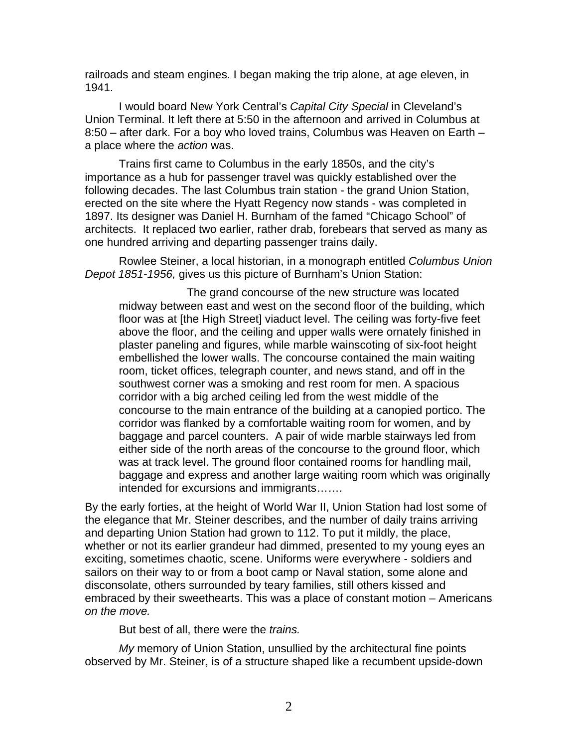railroads and steam engines. I began making the trip alone, at age eleven, in 1941.

 I would board New York Central's *Capital City Special* in Cleveland's Union Terminal. It left there at 5:50 in the afternoon and arrived in Columbus at 8:50 – after dark. For a boy who loved trains, Columbus was Heaven on Earth – a place where the *action* was.

 Trains first came to Columbus in the early 1850s, and the city's importance as a hub for passenger travel was quickly established over the following decades. The last Columbus train station - the grand Union Station, erected on the site where the Hyatt Regency now stands - was completed in 1897. Its designer was Daniel H. Burnham of the famed "Chicago School" of architects. It replaced two earlier, rather drab, forebears that served as many as one hundred arriving and departing passenger trains daily.

 Rowlee Steiner, a local historian, in a monograph entitled *Columbus Union Depot 1851-1956,* gives us this picture of Burnham's Union Station:

 The grand concourse of the new structure was located midway between east and west on the second floor of the building, which floor was at [the High Street] viaduct level. The ceiling was forty-five feet above the floor, and the ceiling and upper walls were ornately finished in plaster paneling and figures, while marble wainscoting of six-foot height embellished the lower walls. The concourse contained the main waiting room, ticket offices, telegraph counter, and news stand, and off in the southwest corner was a smoking and rest room for men. A spacious corridor with a big arched ceiling led from the west middle of the concourse to the main entrance of the building at a canopied portico. The corridor was flanked by a comfortable waiting room for women, and by baggage and parcel counters. A pair of wide marble stairways led from either side of the north areas of the concourse to the ground floor, which was at track level. The ground floor contained rooms for handling mail, baggage and express and another large waiting room which was originally intended for excursions and immigrants…….

By the early forties, at the height of World War II, Union Station had lost some of the elegance that Mr. Steiner describes, and the number of daily trains arriving and departing Union Station had grown to 112. To put it mildly, the place, whether or not its earlier grandeur had dimmed, presented to my young eyes an exciting, sometimes chaotic, scene. Uniforms were everywhere - soldiers and sailors on their way to or from a boot camp or Naval station, some alone and disconsolate, others surrounded by teary families, still others kissed and embraced by their sweethearts. This was a place of constant motion – Americans *on the move.*

But best of all, there were the *trains.* 

*My* memory of Union Station, unsullied by the architectural fine points observed by Mr. Steiner, is of a structure shaped like a recumbent upside-down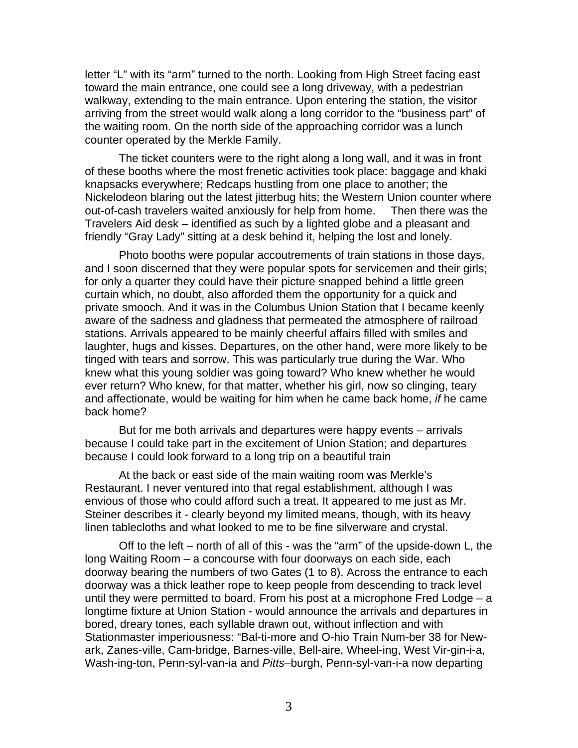letter "L" with its "arm" turned to the north. Looking from High Street facing east toward the main entrance, one could see a long driveway, with a pedestrian walkway, extending to the main entrance. Upon entering the station, the visitor arriving from the street would walk along a long corridor to the "business part" of the waiting room. On the north side of the approaching corridor was a lunch counter operated by the Merkle Family.

 The ticket counters were to the right along a long wall, and it was in front of these booths where the most frenetic activities took place: baggage and khaki knapsacks everywhere; Redcaps hustling from one place to another; the Nickelodeon blaring out the latest jitterbug hits; the Western Union counter where out-of-cash travelers waited anxiously for help from home. Then there was the Travelers Aid desk – identified as such by a lighted globe and a pleasant and friendly "Gray Lady" sitting at a desk behind it, helping the lost and lonely.

 Photo booths were popular accoutrements of train stations in those days, and I soon discerned that they were popular spots for servicemen and their girls; for only a quarter they could have their picture snapped behind a little green curtain which, no doubt, also afforded them the opportunity for a quick and private smooch. And it was in the Columbus Union Station that I became keenly aware of the sadness and gladness that permeated the atmosphere of railroad stations. Arrivals appeared to be mainly cheerful affairs filled with smiles and laughter, hugs and kisses. Departures, on the other hand, were more likely to be tinged with tears and sorrow. This was particularly true during the War. Who knew what this young soldier was going toward? Who knew whether he would ever return? Who knew, for that matter, whether his girl, now so clinging, teary and affectionate, would be waiting for him when he came back home, *if* he came back home?

 But for me both arrivals and departures were happy events – arrivals because I could take part in the excitement of Union Station; and departures because I could look forward to a long trip on a beautiful train

 At the back or east side of the main waiting room was Merkle's Restaurant. I never ventured into that regal establishment, although I was envious of those who could afford such a treat. It appeared to me just as Mr. Steiner describes it - clearly beyond my limited means, though, with its heavy linen tablecloths and what looked to me to be fine silverware and crystal.

 Off to the left – north of all of this - was the "arm" of the upside-down L, the long Waiting Room – a concourse with four doorways on each side, each doorway bearing the numbers of two Gates (1 to 8). Across the entrance to each doorway was a thick leather rope to keep people from descending to track level until they were permitted to board. From his post at a microphone Fred Lodge – a longtime fixture at Union Station - would announce the arrivals and departures in bored, dreary tones, each syllable drawn out, without inflection and with Stationmaster imperiousness: "Bal-ti-more and O-hio Train Num-ber 38 for Newark, Zanes-ville, Cam-bridge, Barnes-ville, Bell-aire, Wheel-ing, West Vir-gin-i-a, Wash-ing-ton, Penn-syl-van-ia and *Pitts*–burgh, Penn-syl-van-i-a now departing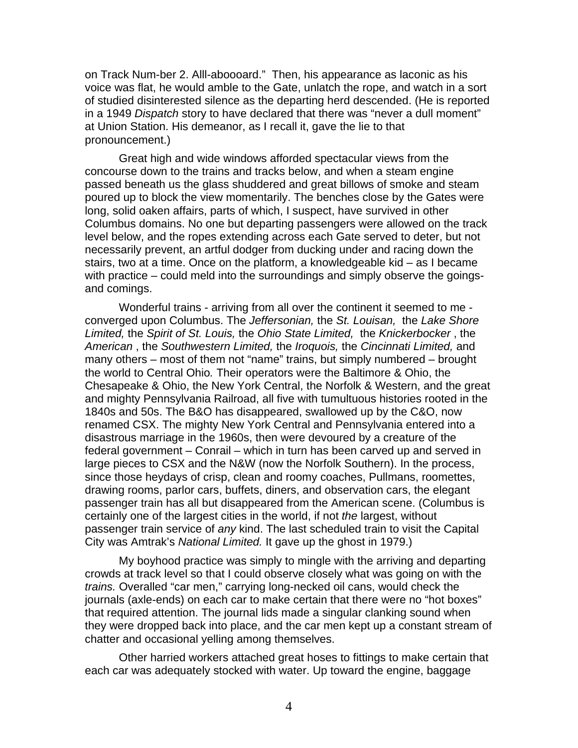on Track Num-ber 2. Alll-aboooard." Then, his appearance as laconic as his voice was flat, he would amble to the Gate, unlatch the rope, and watch in a sort of studied disinterested silence as the departing herd descended. (He is reported in a 1949 *Dispatch* story to have declared that there was "never a dull moment" at Union Station. His demeanor, as I recall it, gave the lie to that pronouncement.)

 Great high and wide windows afforded spectacular views from the concourse down to the trains and tracks below, and when a steam engine passed beneath us the glass shuddered and great billows of smoke and steam poured up to block the view momentarily. The benches close by the Gates were long, solid oaken affairs, parts of which, I suspect, have survived in other Columbus domains. No one but departing passengers were allowed on the track level below, and the ropes extending across each Gate served to deter, but not necessarily prevent, an artful dodger from ducking under and racing down the stairs, two at a time. Once on the platform, a knowledgeable kid – as I became with practice – could meld into the surroundings and simply observe the goingsand comings.

 Wonderful trains - arriving from all over the continent it seemed to me converged upon Columbus. The *Jeffersonian,* the *St. Louisan,* the *Lake Shore Limited,* the *Spirit of St. Louis,* the *Ohio State Limited,* the *Knickerbocker* , the *American* , the *Southwestern Limited,* the *Iroquois,* the *Cincinnati Limited,* and many others – most of them not "name" trains, but simply numbered – brought the world to Central Ohio*.* Their operators were the Baltimore & Ohio, the Chesapeake & Ohio, the New York Central, the Norfolk & Western, and the great and mighty Pennsylvania Railroad, all five with tumultuous histories rooted in the 1840s and 50s. The B&O has disappeared, swallowed up by the C&O, now renamed CSX. The mighty New York Central and Pennsylvania entered into a disastrous marriage in the 1960s, then were devoured by a creature of the federal government – Conrail – which in turn has been carved up and served in large pieces to CSX and the N&W (now the Norfolk Southern). In the process, since those heydays of crisp, clean and roomy coaches, Pullmans, roomettes, drawing rooms, parlor cars, buffets, diners, and observation cars, the elegant passenger train has all but disappeared from the American scene. (Columbus is certainly one of the largest cities in the world, if not *the* largest, without passenger train service of *any* kind. The last scheduled train to visit the Capital City was Amtrak's *National Limited.* It gave up the ghost in 1979.)

 My boyhood practice was simply to mingle with the arriving and departing crowds at track level so that I could observe closely what was going on with the *trains.* Overalled "car men," carrying long-necked oil cans, would check the journals (axle-ends) on each car to make certain that there were no "hot boxes" that required attention. The journal lids made a singular clanking sound when they were dropped back into place, and the car men kept up a constant stream of chatter and occasional yelling among themselves.

 Other harried workers attached great hoses to fittings to make certain that each car was adequately stocked with water. Up toward the engine, baggage